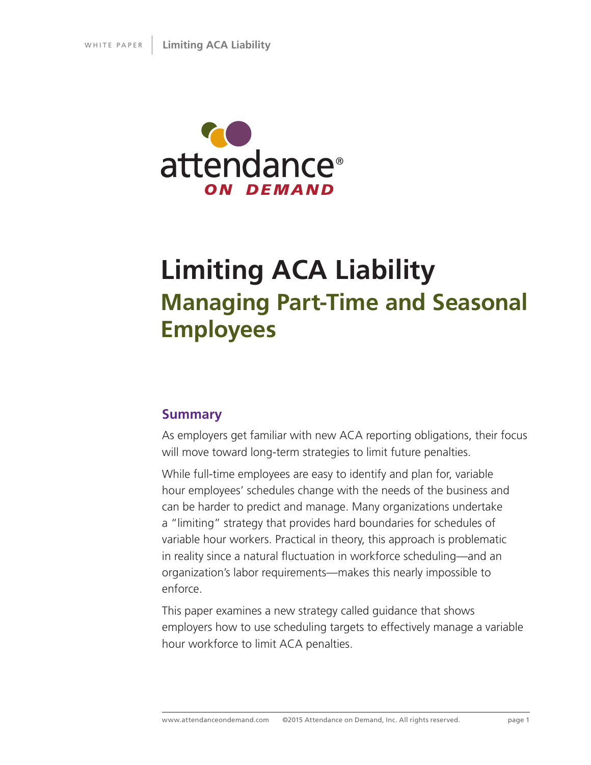

# **Limiting ACA Liability Managing Part-Time and Seasonal Employees**

## **Summary**

As employers get familiar with new ACA reporting obligations, their focus will move toward long-term strategies to limit future penalties.

While full-time employees are easy to identify and plan for, variable hour employees' schedules change with the needs of the business and can be harder to predict and manage. Many organizations undertake a "limiting" strategy that provides hard boundaries for schedules of variable hour workers. Practical in theory, this approach is problematic in reality since a natural fluctuation in workforce scheduling—and an organization's labor requirements—makes this nearly impossible to enforce.

This paper examines a new strategy called guidance that shows employers how to use scheduling targets to effectively manage a variable hour workforce to limit ACA penalties.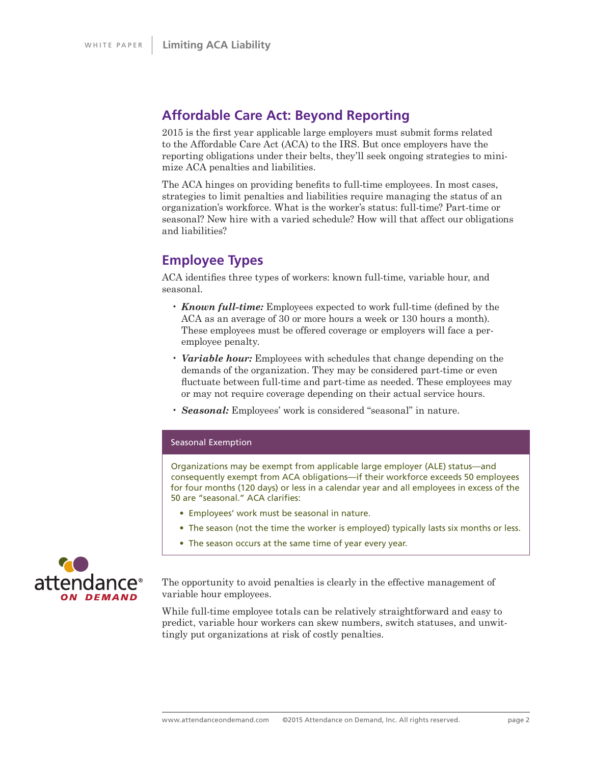## **Affordable Care Act: Beyond Reporting**

2015 is the first year applicable large employers must submit forms related to the Affordable Care Act (ACA) to the IRS. But once employers have the reporting obligations under their belts, they'll seek ongoing strategies to minimize ACA penalties and liabilities.

The ACA hinges on providing benefits to full-time employees. In most cases, strategies to limit penalties and liabilities require managing the status of an organization's workforce. What is the worker's status: full-time? Part-time or seasonal? New hire with a varied schedule? How will that affect our obligations and liabilities?

## **Employee Types**

ACA identifies three types of workers: known full-time, variable hour, and seasonal.

- *Known full-time:* Employees expected to work full-time (defined by the ACA as an average of 30 or more hours a week or 130 hours a month). These employees must be offered coverage or employers will face a peremployee penalty.
- *Variable hour:* Employees with schedules that change depending on the demands of the organization. They may be considered part-time or even fluctuate between full-time and part-time as needed. These employees may or may not require coverage depending on their actual service hours.
- *Seasonal:* Employees' work is considered "seasonal" in nature.

#### Seasonal Exemption

Organizations may be exempt from applicable large employer (ALE) status—and consequently exempt from ACA obligations—if their workforce exceeds 50 employees for four months (120 days) or less in a calendar year and all employees in excess of the 50 are "seasonal." ACA clarifies:

- Employees' work must be seasonal in nature.
- The season (not the time the worker is employed) typically lasts six months or less.
- The season occurs at the same time of year every year.



The opportunity to avoid penalties is clearly in the effective management of variable hour employees.

While full-time employee totals can be relatively straightforward and easy to predict, variable hour workers can skew numbers, switch statuses, and unwittingly put organizations at risk of costly penalties.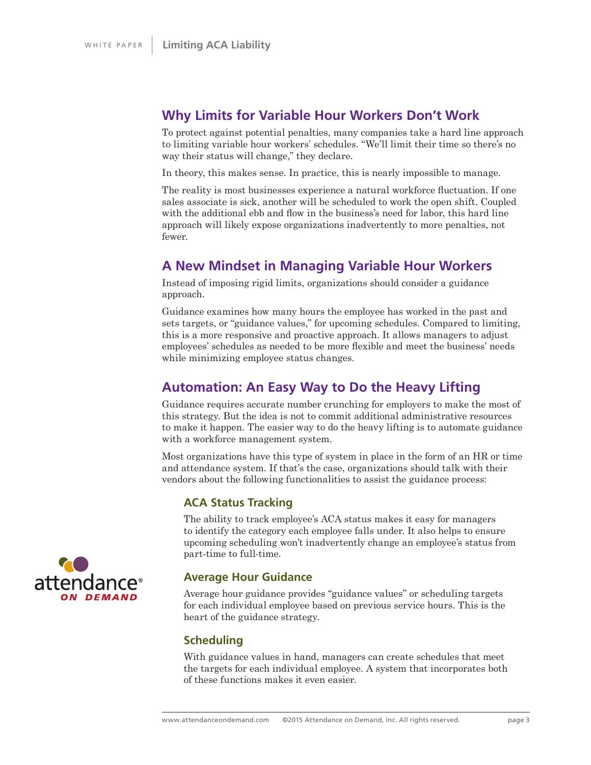## **Why Limits for Variable Hour Workers Don't Work**

To protect against potential penalties, many companies take a hard line approach to limiting variable hour workers' schedules. "We'll limit their time so there's no way their status will change," they declare.

In theory, this makes sense. In practice, this is nearly impossible to manage.

The reality is most businesses experience a natural workforce fluctuation. If one sales associate is sick, another will be scheduled to work the open shift. Coupled with the additional ebb and flow in the business's need for labor, this hard line approach will likely expose organizations inadvertently to more penalties, not fewer.

## **A New Mindset in Managing Variable Hour Workers**

Instead of imposing rigid limits, organizations should consider a guidance approach.

Guidance examines how many hours the employee has worked in the past and sets targets, or "guidance values," for upcoming schedules. Compared to limiting, this is a more responsive and proactive approach. It allows managers to adjust employees' schedules as needed to be more flexible and meet the business' needs while minimizing employee status changes.

## **Automation: An Easy Way to Do the Heavy Lifting**

Guidance requires accurate number crunching for employers to make the most of this strategy. But the idea is not to commit additional administrative resources to make it happen. The easier way to do the heavy lifting is to automate guidance with a workforce management system.

Most organizations have this type of system in place in the form of an HR or time and attendance system. If that's the case, organizations should talk with their vendors about the following functionalities to assist the guidance process:

### **ACA Status Tracking**

The ability to track employee's ACA status makes it easy for managers to identify the category each employee falls under. It also helps to ensure upcoming scheduling won't inadvertently change an employee's status from part-time to full-time.

### **Average Hour Guidance**

Average hour guidance provides "guidance values" or scheduling targets for each individual employee based on previous service hours. This is the heart of the guidance strategy.

### **Scheduling**

With guidance values in hand, managers can create schedules that meet the targets for each individual employee. A system that incorporates both of these functions makes it even easier.